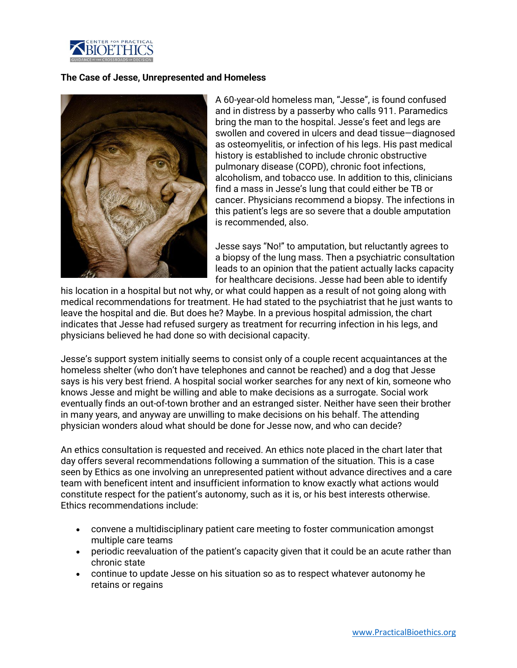

## **The Case of Jesse, Unrepresented and Homeless**



A 60-year-old homeless man, "Jesse", is found confused and in distress by a passerby who calls 911. Paramedics bring the man to the hospital. Jesse's feet and legs are swollen and covered in ulcers and dead tissue—diagnosed as osteomyelitis, or infection of his legs. His past medical history is established to include chronic obstructive pulmonary disease (COPD), chronic foot infections, alcoholism, and tobacco use. In addition to this, clinicians find a mass in Jesse's lung that could either be TB or cancer. Physicians recommend a biopsy. The infections in this patient's legs are so severe that a double amputation is recommended, also.

Jesse says "No!" to amputation, but reluctantly agrees to a biopsy of the lung mass. Then a psychiatric consultation leads to an opinion that the patient actually lacks capacity for healthcare decisions. Jesse had been able to identify

his location in a hospital but not why, or what could happen as a result of not going along with medical recommendations for treatment. He had stated to the psychiatrist that he just wants to leave the hospital and die. But does he? Maybe. In a previous hospital admission, the chart indicates that Jesse had refused surgery as treatment for recurring infection in his legs, and physicians believed he had done so with decisional capacity.

Jesse's support system initially seems to consist only of a couple recent acquaintances at the homeless shelter (who don't have telephones and cannot be reached) and a dog that Jesse says is his very best friend. A hospital social worker searches for any next of kin, someone who knows Jesse and might be willing and able to make decisions as a surrogate. Social work eventually finds an out-of-town brother and an estranged sister. Neither have seen their brother in many years, and anyway are unwilling to make decisions on his behalf. The attending physician wonders aloud what should be done for Jesse now, and who can decide?

An ethics consultation is requested and received. An ethics note placed in the chart later that day offers several recommendations following a summation of the situation. This is a case seen by Ethics as one involving an unrepresented patient without advance directives and a care team with beneficent intent and insufficient information to know exactly what actions would constitute respect for the patient's autonomy, such as it is, or his best interests otherwise. Ethics recommendations include:

- convene a multidisciplinary patient care meeting to foster communication amongst multiple care teams
- periodic reevaluation of the patient's capacity given that it could be an acute rather than chronic state
- continue to update Jesse on his situation so as to respect whatever autonomy he retains or regains